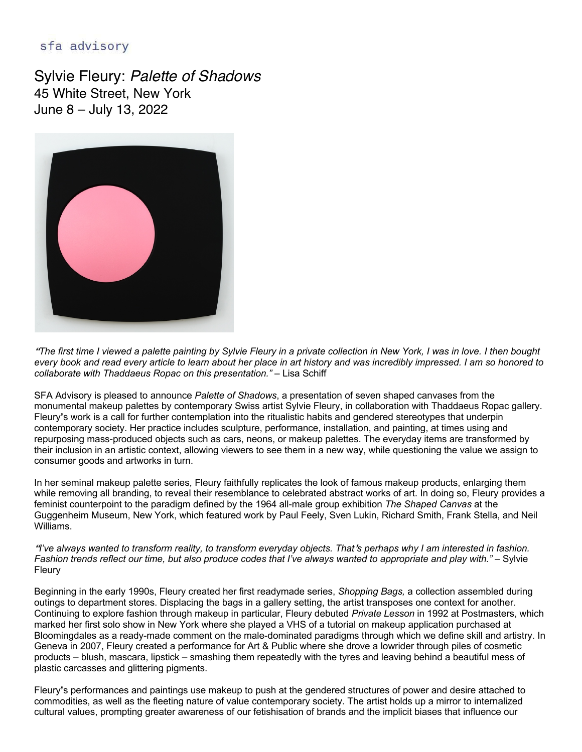## sfa advisory

Sylvie Fleury: *Palette of Shadows* 45 White Street, New York June 8 – July 13, 2022



**"***The first time I viewed a palette painting by Sylvie Fleury in a private collection in New York, I was in love. I then bought every book and read every article to learn about her place in art history and was incredibly impressed. I am so honored to collaborate with Thaddaeus Ropac on this presentation." –* Lisa Schiff

SFA Advisory is pleased to announce *Palette of Shadows*, a presentation of seven shaped canvases from the monumental makeup palettes by contemporary Swiss artist Sylvie Fleury, in collaboration with Thaddaeus Ropac gallery. Fleury**'**s work is a call for further contemplation into the ritualistic habits and gendered stereotypes that underpin contemporary society. Her practice includes sculpture, performance, installation, and painting, at times using and repurposing mass-produced objects such as cars, neons, or makeup palettes. The everyday items are transformed by their inclusion in an artistic context, allowing viewers to see them in a new way, while questioning the value we assign to consumer goods and artworks in turn.

In her seminal makeup palette series, Fleury faithfully replicates the look of famous makeup products, enlarging them while removing all branding, to reveal their resemblance to celebrated abstract works of art. In doing so, Fleury provides a feminist counterpoint to the paradigm defined by the 1964 all-male group exhibition *The Shaped Canvas* at the Guggenheim Museum, New York, which featured work by Paul Feely, Sven Lukin, Richard Smith, Frank Stella, and Neil Williams.

**"***I've always wanted to transform reality, to transform everyday objects. That***'***s perhaps why I am interested in fashion. Fashion trends reflect our time, but also produce codes that I've always wanted to appropriate and play with." –* Sylvie Fleury

Beginning in the early 1990s, Fleury created her first readymade series, *Shopping Bags,* a collection assembled during outings to department stores. Displacing the bags in a gallery setting, the artist transposes one context for another. Continuing to explore fashion through makeup in particular, Fleury debuted *Private Lesson* in 1992 at Postmasters, which marked her first solo show in New York where she played a VHS of a tutorial on makeup application purchased at Bloomingdales as a ready-made comment on the male-dominated paradigms through which we define skill and artistry. In Geneva in 2007, Fleury created a performance for Art & Public where she drove a lowrider through piles of cosmetic products – blush, mascara, lipstick – smashing them repeatedly with the tyres and leaving behind a beautiful mess of plastic carcasses and glittering pigments.

Fleury**'**s performances and paintings use makeup to push at the gendered structures of power and desire attached to commodities, as well as the fleeting nature of value contemporary society. The artist holds up a mirror to internalized cultural values, prompting greater awareness of our fetishisation of brands and the implicit biases that influence our